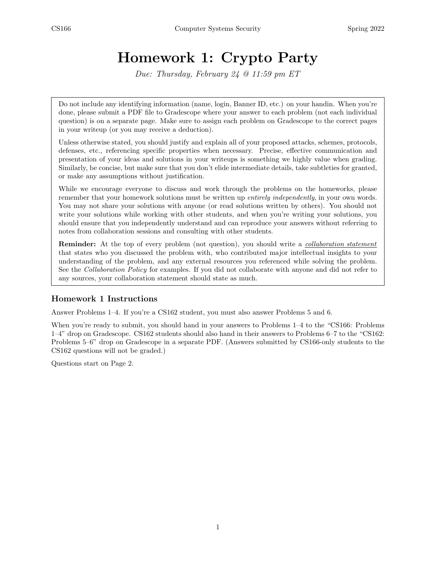# Homework 1: Crypto Party

Due: Thursday, February 24 @ 11:59 pm ET

Do not include any identifying information (name, login, Banner ID, etc.) on your handin. When you're done, please submit a PDF file to Gradescope where your answer to each problem (not each individual question) is on a separate page. Make sure to assign each problem on Gradescope to the correct pages in your writeup (or you may receive a deduction).

Unless otherwise stated, you should justify and explain all of your proposed attacks, schemes, protocols, defenses, etc., referencing specific properties when necessary. Precise, effective communication and presentation of your ideas and solutions in your writeups is something we highly value when grading. Similarly, be concise, but make sure that you don't elide intermediate details, take subtleties for granted, or make any assumptions without justification.

While we encourage everyone to discuss and work through the problems on the homeworks, please remember that your homework solutions must be written up *entirely independently*, in your own words. You may not share your solutions with anyone (or read solutions written by others). You should not write your solutions while working with other students, and when you're writing your solutions, you should ensure that you independently understand and can reproduce your answers without referring to notes from collaboration sessions and consulting with other students.

**Reminder:** At the top of every problem (not question), you should write a *collaboration statement* that states who you discussed the problem with, who contributed major intellectual insights to your understanding of the problem, and any external resources you referenced while solving the problem. See the Collaboration Policy for examples. If you did not collaborate with anyone and did not refer to any sources, your collaboration statement should state as much.

#### Homework 1 Instructions

Answer Problems 1–4. If you're a CS162 student, you must also answer Problems 5 and 6.

When you're ready to submit, you should hand in your answers to Problems 1–4 to the "CS166: Problems" 1–4" drop on Gradescope. CS162 students should also hand in their answers to Problems 6–7 to the "CS162: Problems 5–6" drop on Gradescope in a separate PDF. (Answers submitted by CS166-only students to the CS162 questions will not be graded.)

Questions start on Page 2.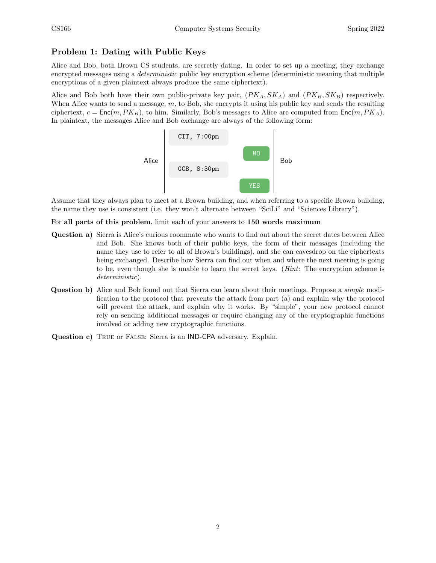### Problem 1: Dating with Public Keys

Alice and Bob, both Brown CS students, are secretly dating. In order to set up a meeting, they exchange encrypted messages using a *deterministic* public key encryption scheme (deterministic meaning that multiple encryptions of a given plaintext always produce the same ciphertext).

Alice and Bob both have their own public-private key pair,  $(PK_A, SK_A)$  and  $(PK_B, SK_B)$  respectively. When Alice wants to send a message,  $m$ , to Bob, she encrypts it using his public key and sends the resulting ciphertext,  $c = \text{Enc}(m, PK_B)$ , to him. Similarly, Bob's messages to Alice are computed from  $\text{Enc}(m, PK_A)$ . In plaintext, the messages Alice and Bob exchange are always of the following form:



Assume that they always plan to meet at a Brown building, and when referring to a specific Brown building, the name they use is consistent (i.e. they won't alternate between "SciLi" and "Sciences Library").

For all parts of this problem, limit each of your answers to 150 words maximum

- Question a) Sierra is Alice's curious roommate who wants to find out about the secret dates between Alice and Bob. She knows both of their public keys, the form of their messages (including the name they use to refer to all of Brown's buildings), and she can eavesdrop on the ciphertexts being exchanged. Describe how Sierra can find out when and where the next meeting is going to be, even though she is unable to learn the secret keys. (Hint: The encryption scheme is deterministic).
- Question b) Alice and Bob found out that Sierra can learn about their meetings. Propose a simple modification to the protocol that prevents the attack from part (a) and explain why the protocol will prevent the attack, and explain why it works. By "simple", your new protocol cannot rely on sending additional messages or require changing any of the cryptographic functions involved or adding new cryptographic functions.
- Question c) TRUE or FALSE: Sierra is an IND-CPA adversary. Explain.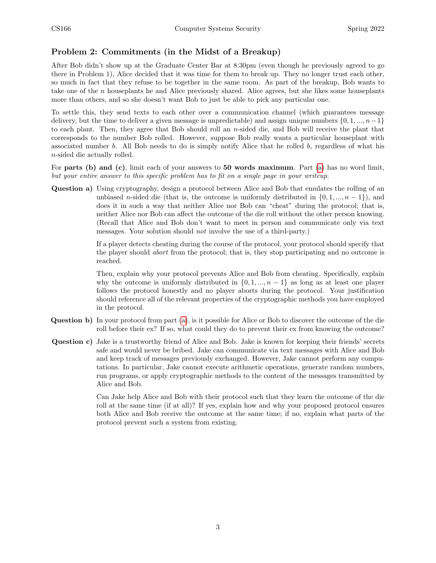#### Problem 2: Commitments (in the Midst of a Breakup)

After Bob didn't show up at the Graduate Center Bar at 8:30pm (even though he previously agreed to go there in Problem 1), Alice decided that it was time for them to break up. They no longer trust each other, so much in fact that they refuse to be together in the same room. As part of the breakup, Bob wants to take one of the n houseplants he and Alice previously shared. Alice agrees, but she likes some houseplants more than others, and so she doesn't want Bob to just be able to pick any particular one.

To settle this, they send texts to each other over a communication channel (which guarantees message delivery, but the time to deliver a given message is unpredictable) and assign unique numbers  $\{0, 1, ..., n-1\}$ to each plant. Then, they agree that Bob should roll an n-sided die, and Bob will receive the plant that corresponds to the number Bob rolled. However, suppose Bob really wants a particular houseplant with associated number b. All Bob needs to do is simply notify Alice that he rolled b, regardless of what his n-sided die actually rolled.

For parts (b) and (c), limit each of your answers to 50 words maximum. Part [\(a\)](#page-2-0) has no word limit, but your entire answer to this specific problem has to fit on a single page in your writeup.

<span id="page-2-0"></span>Question a) Using cryptography, design a protocol between Alice and Bob that emulates the rolling of an unbiased n-sided die (that is, the outcome is uniformly distributed in  $\{0, 1, ..., n-1\}$ ), and does it in such a way that neither Alice nor Bob can "cheat" during the protocol; that is, neither Alice nor Bob can affect the outcome of the die roll without the other person knowing. (Recall that Alice and Bob don't want to meet in person and communicate only via text messages. Your solution should not involve the use of a third-party.)

> If a player detects cheating during the course of the protocol, your protocol should specify that the player should abort from the protocol; that is, they stop participating and no outcome is reached.

> Then, explain why your protocol prevents Alice and Bob from cheating. Specifically, explain why the outcome is uniformly distributed in  $\{0, 1, ..., n-1\}$  as long as at least one player follows the protocol honestly and no player aborts during the protocol. Your justification should reference all of the relevant properties of the cryptographic methods you have employed in the protocol.

- Question b) In your protocol from part [\(a\)](#page-2-0), is it possible for Alice or Bob to discover the outcome of the die roll before their ex? If so, what could they do to prevent their ex from knowing the outcome?
- Question c) Jake is a trustworthy friend of Alice and Bob. Jake is known for keeping their friends' secrets safe and would never be bribed. Jake can communicate via text messages with Alice and Bob and keep track of messages previously exchanged. However, Jake cannot perform any computations. In particular, Jake cannot execute arithmetic operations, generate random numbers, run programs, or apply cryptographic methods to the content of the messages transmitted by Alice and Bob.

Can Jake help Alice and Bob with their protocol such that they learn the outcome of the die roll at the same time (if at all)? If yes, explain how and why your proposed protocol ensures both Alice and Bob receive the outcome at the same time; if no, explain what parts of the protocol prevent such a system from existing.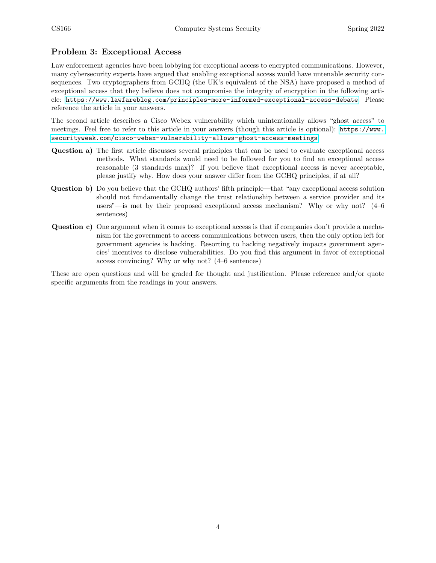#### Problem 3: Exceptional Access

Law enforcement agencies have been lobbying for exceptional access to encrypted communications. However, many cybersecurity experts have argued that enabling exceptional access would have untenable security consequences. Two cryptographers from GCHQ (the UK's equivalent of the NSA) have proposed a method of exceptional access that they believe does not compromise the integrity of encryption in the following article: <https://www.lawfareblog.com/principles-more-informed-exceptional-access-debate>. Please reference the article in your answers.

The second article describes a Cisco Webex vulnerability which unintentionally allows "ghost access" to meetings. Feel free to refer to this article in your answers (though this article is optional): [https://www.](https://www.securityweek.com/cisco-webex-vulnerability-allows-ghost-access-meetings) [securityweek.com/cisco-webex-vulnerability-allows-ghost-access-meetings](https://www.securityweek.com/cisco-webex-vulnerability-allows-ghost-access-meetings)

- Question a) The first article discusses several principles that can be used to evaluate exceptional access methods. What standards would need to be followed for you to find an exceptional access reasonable (3 standards max)? If you believe that exceptional access is never acceptable, please justify why. How does your answer differ from the GCHQ principles, if at all?
- Question b) Do you believe that the GCHQ authors' fifth principle—that "any exceptional access solution should not fundamentally change the trust relationship between a service provider and its users"—is met by their proposed exceptional access mechanism? Why or why not? (4–6 sentences)
- Question c) One argument when it comes to exceptional access is that if companies don't provide a mechanism for the government to access communications between users, then the only option left for government agencies is hacking. Resorting to hacking negatively impacts government agencies' incentives to disclose vulnerabilities. Do you find this argument in favor of exceptional access convincing? Why or why not? (4–6 sentences)

These are open questions and will be graded for thought and justification. Please reference and/or quote specific arguments from the readings in your answers.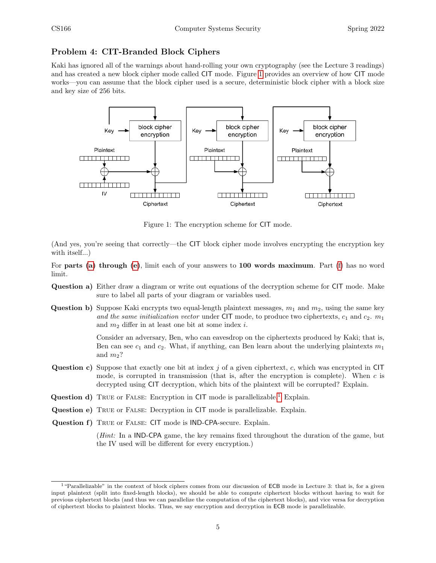#### <span id="page-4-0"></span>Problem 4: CIT-Branded Block Ciphers

Kaki has ignored all of the warnings about hand-rolling your own cryptography (see the Lecture 3 readings) and has created a new block cipher mode called CIT mode. Figure [1](#page-4-0) provides an overview of how CIT mode works—you can assume that the block cipher used is a secure, deterministic block cipher with a block size and key size of 256 bits.



Figure 1: The encryption scheme for CIT mode.

(And yes, you're seeing that correctly—the CIT block cipher mode involves encrypting the encryption key with itself...)

For parts [\(a\)](#page-4-1) through [\(e\)](#page-4-2), limit each of your answers to 100 words maximum. Part [\(f\)](#page-4-3) has no word limit.

- <span id="page-4-1"></span>Question a) Either draw a diagram or write out equations of the decryption scheme for CIT mode. Make sure to label all parts of your diagram or variables used.
- **Question b)** Suppose Kaki encrypts two equal-length plaintext messages,  $m_1$  and  $m_2$ , using the same key and the same initialization vector under CIT mode, to produce two ciphertexts,  $c_1$  and  $c_2$ .  $m_1$ and  $m_2$  differ in at least one bit at some index i.

Consider an adversary, Ben, who can eavesdrop on the ciphertexts produced by Kaki; that is, Ben can see  $c_1$  and  $c_2$ . What, if anything, can Ben learn about the underlying plaintexts  $m_1$ and  $m_2$ ?

- **Question c)** Suppose that exactly one bit at index  $j$  of a given ciphertext,  $c$ , which was encrypted in CIT mode, is corrupted in transmission (that is, after the encryption is complete). When  $c$  is decrypted using CIT decryption, which bits of the plaintext will be corrupted? Explain.
- Question d) TRUE or FALSE: Encryption in CIT mode is parallelizable.<sup>[1](#page-4-4)</sup> Explain.
- <span id="page-4-2"></span>Question e) True or False: Decryption in CIT mode is parallelizable. Explain.
- <span id="page-4-3"></span>Question f) TRUE or FALSE: CIT mode is IND-CPA-secure. Explain.

(Hint: In a IND-CPA game, the key remains fixed throughout the duration of the game, but the IV used will be different for every encryption.)

<span id="page-4-4"></span><sup>&</sup>lt;sup>1</sup> "Parallelizable" in the context of block ciphers comes from our discussion of **ECB** mode in Lecture 3: that is, for a given input plaintext (split into fixed-length blocks), we should be able to compute ciphertext blocks without having to wait for previous ciphertext blocks (and thus we can parallelize the computation of the ciphertext blocks), and vice versa for decryption of ciphertext blocks to plaintext blocks. Thus, we say encryption and decryption in ECB mode is parallelizable.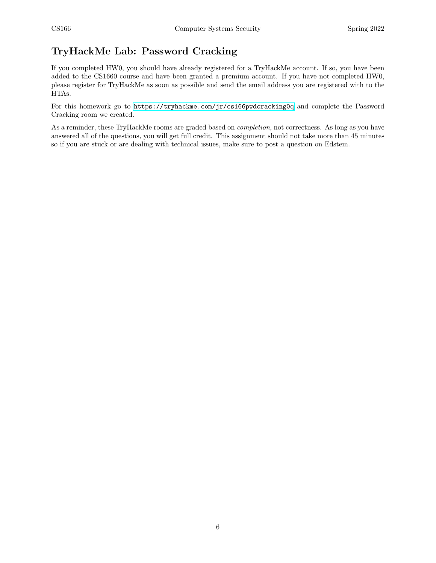## TryHackMe Lab: Password Cracking

If you completed HW0, you should have already registered for a TryHackMe account. If so, you have been added to the CS1660 course and have been granted a premium account. If you have not completed HW0, please register for TryHackMe as soon as possible and send the email address you are registered with to the HTAs.

For this homework go to <https://tryhackme.com/jr/cs166pwdcracking0q> and complete the Password Cracking room we created.

As a reminder, these TryHackMe rooms are graded based on *completion*, not correctness. As long as you have answered all of the questions, you will get full credit. This assignment should not take more than 45 minutes so if you are stuck or are dealing with technical issues, make sure to post a question on Edstem.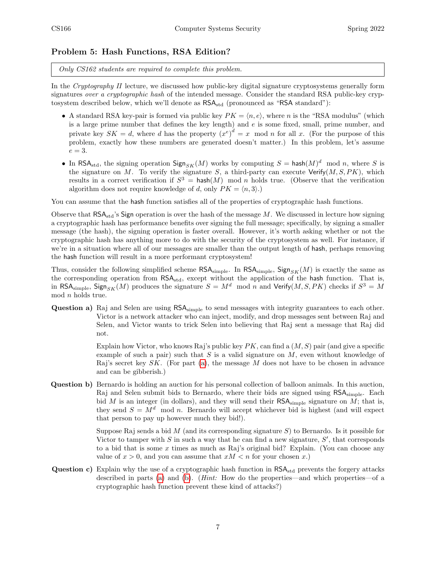#### Problem 5: Hash Functions, RSA Edition?

Only CS162 students are required to complete this problem.

In the Cryptography II lecture, we discussed how public-key digital signature cryptosystems generally form signatures over a cryptographic hash of the intended message. Consider the standard RSA public-key cryptosystem described below, which we'll denote as  $\text{RSA}_{\text{std}}$  (pronounced as "RSA standard"):

- A standard RSA key-pair is formed via public key  $PK = \langle n, e \rangle$ , where n is the "RSA modulus" (which is a large prime number that defines the key length) and  $e$  is some fixed, small, prime number, and private key  $SK = d$ , where d has the property  $(x<sup>e</sup>)<sup>d</sup> = x \mod n$  for all x. (For the purpose of this problem, exactly how these numbers are generated doesn't matter.) In this problem, let's assume  $e = 3$ .
- In RSA<sub>std</sub>, the signing operation  $\text{Sign}_{SK}(M)$  works by computing  $S = \text{hash}(M)^d \mod n$ , where S is the signature on M. To verify the signature S, a third-party can execute  $Verify(M, S, PK)$ , which results in a correct verification if  $S^3 = \text{hash}(M)$  mod n holds true. (Observe that the verification algorithm does not require knowledge of d, only  $PK = \langle n, 3 \rangle$ .)

You can assume that the hash function satisfies all of the properties of cryptographic hash functions.

Observe that  $\text{RSA}_{\text{std}}$ 's Sign operation is over the hash of the message M. We discussed in lecture how signing a cryptographic hash has performance benefits over signing the full message; specifically, by signing a smaller message (the hash), the signing operation is faster overall. However, it's worth asking whether or not the cryptographic hash has anything more to do with the security of the cryptosystem as well. For instance, if we're in a situation where all of our messages are smaller than the output length of hash, perhaps removing the hash function will result in a more performant cryptosystem!

Thus, consider the following simplified scheme  $\mathsf{RSA}_{\text{simple}}$ . In  $\mathsf{RSA}_{\text{simple}}$ ,  $\mathsf{Sign}_{SK}(M)$  is exactly the same as the corresponding operation from RSA<sub>std</sub>, except without the application of the hash function. That is, in RSA<sub>simple</sub>, Sign<sub>SK</sub>(M) produces the signature  $S = M^d \mod n$  and Verify(M, S, PK) checks if  $S^3 = M$ mod n holds true.

<span id="page-6-0"></span>Question a) Raj and Selen are using  $\text{RSA}_{\text{simple}}$  to send messages with integrity guarantees to each other. Victor is a network attacker who can inject, modify, and drop messages sent between Raj and Selen, and Victor wants to trick Selen into believing that Raj sent a message that Raj did not.

> Explain how Victor, who knows Raj's public key  $PK$ , can find a  $(M, S)$  pair (and give a specific example of such a pair) such that  $S$  is a valid signature on  $M$ , even without knowledge of Raj's secret key  $SK.$  (For part [\(a\)](#page-6-0), the message  $M$  does not have to be chosen in advance and can be gibberish.)

<span id="page-6-1"></span>Question b) Bernardo is holding an auction for his personal collection of balloon animals. In this auction, Raj and Selen submit bids to Bernardo, where their bids are signed using RSA<sub>simple</sub>. Each bid  $M$  is an integer (in dollars), and they will send their  $\mathsf{RSA}_{\text{simple}}$  signature on  $M$ ; that is, they send  $S = M<sup>d</sup>$  mod n. Bernardo will accept whichever bid is highest (and will expect that person to pay up however much they bid!).

> Suppose Raj sends a bid  $M$  (and its corresponding signature  $S$ ) to Bernardo. Is it possible for Victor to tamper with  $S$  in such a way that he can find a new signature,  $S'$ , that corresponds to a bid that is some x times as much as Raj's original bid? Explain. (You can choose any value of  $x > 0$ , and you can assume that  $xM < n$  for your chosen x.)

Question c) Explain why the use of a cryptographic hash function in RSA<sub>std</sub> prevents the forgery attacks described in parts [\(a\)](#page-6-0) and [\(b\)](#page-6-1). (Hint: How do the properties—and which properties—of a cryptographic hash function prevent these kind of attacks?)